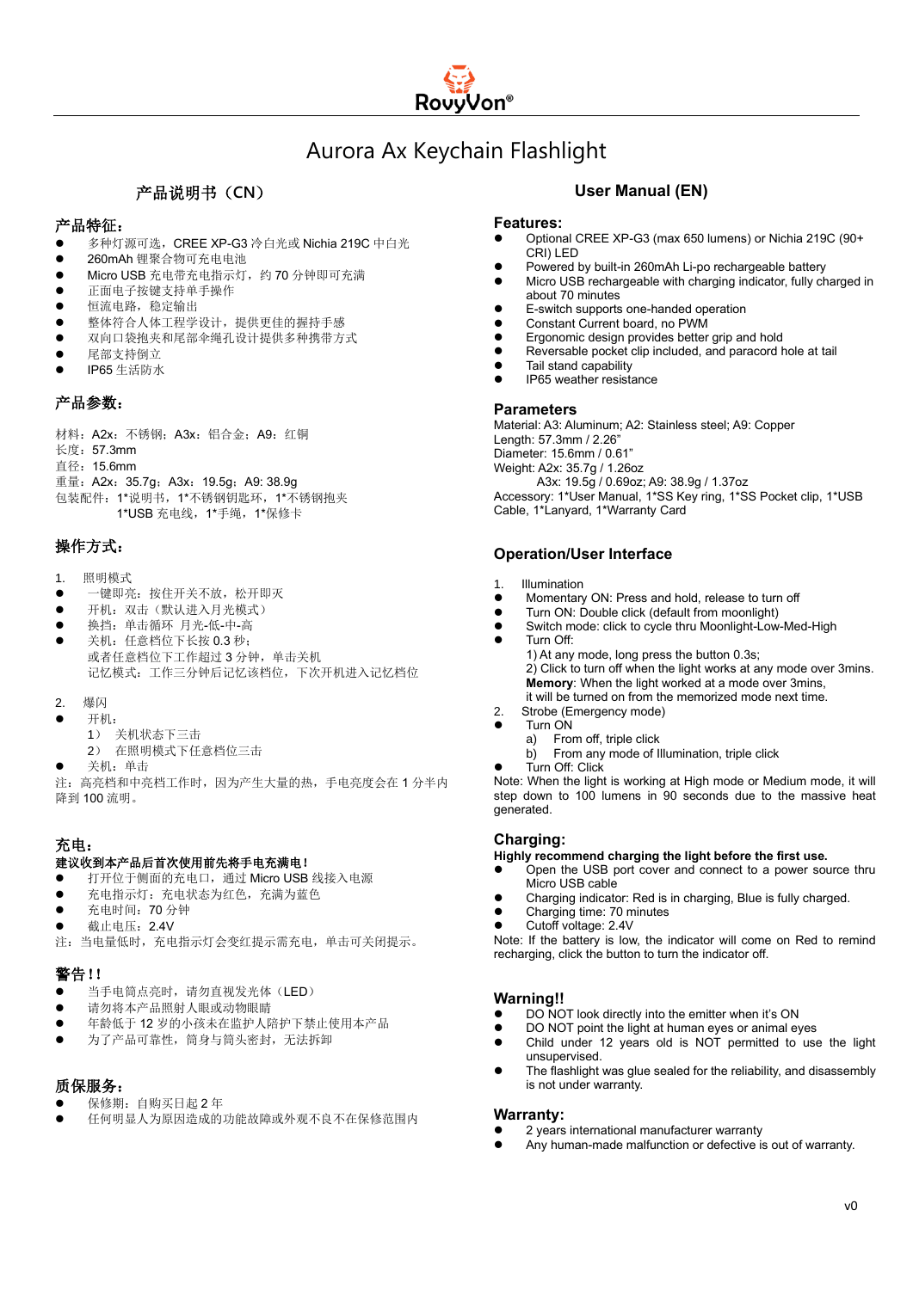

## Aurora Ax Keychain Flashlight

### 产品说明书(**CN**)

#### 产品特征:

- 多种灯源可选, CREE XP-G3 冷白光或 Nichia 219C 中白光
- ⚫ 260mAh 锂聚合物可充电电池
- ⚫ Micro USB 充电带充电指示灯,约 70 分钟即可充满
- ⚫ 正面电子按键支持单手操作
- 恒流电路,稳定输出
- ⚫ 整体符合人体工程学设计,提供更佳的握持手感
- ⚫ 双向口袋抱夹和尾部伞绳孔设计提供多种携带方式
- ⚫ 尾部支持倒立
- ⚫ IP65 生活防水

#### 产品参数:

材料:A2x:不锈钢;A3x:铝合金;A9:红铜 长度:57.3mm

直径:15.6mm

重量:A2x:35.7g;A3x:19.5g;A9: 38.9g

包装配件:1\*说明书,1\*不锈钢钥匙环,1\*不锈钢抱夹 1\*USB 充电线,1\*手绳,1\*保修卡

### 操作方式:

- 1. 照明模式
- 一键即亮: 按住开关不放, 松开即灭
- 开机: 双击(默认进入月光模式)
- ⚫ 换挡:单击循环 月光-低-中-高
- 关机: 任意档位下长按 0.3 秒; 或者任意档位下工作超过 3 分钟,单击关机 记忆模式:工作三分钟后记忆该档位,下次开机进入记忆档位
- 2. 爆闪
- ⚫ 开机:
	- 1) 关机状态下三击
	- 2) 在照明模式下任意档位三击
- 关机: 单击

注:高亮档和中亮档工作时,因为产生大量的热,手电亮度会在 1 分半内 降到 100 流明。

#### 充电:

#### 建议收到本产品后首次使用前先将手电充满电!

- 打开位于侧面的充电口,通过 Micro USB 线接入电源
- 充电指示灯: 充电状态为红色, 充满为蓝色
- 充电时间: 70 分钟
- 截止电压: 2.4V
- 注:当电量低时,充电指示灯会变红提示需充电,单击可关闭提示。

#### 警告!!

- 当手电筒点亮时,请勿直视发光体(LED)
- 请勿将本产品照射人眼或动物眼睛
- ⚫ 年龄低于 12 岁的小孩未在监护人陪护下禁止使用本产品
- 为了产品可靠性, 筒身与筒头密封, 无法拆卸

#### 质保服务:

- 保修期: 自购买日起 2 年
- ⚫ 任何明显人为原因造成的功能故障或外观不良不在保修范围内

#### **User Manual (EN)**

#### **Features:**

- ⚫ Optional CREE XP-G3 (max 650 lumens) or Nichia 219C (90+ CRI) LED
- Powered by built-in 260mAh Li-po rechargeable battery
- ⚫ Micro USB rechargeable with charging indicator, fully charged in about 70 minutes
- ⚫ E-switch supports one-handed operation
- ⚫ Constant Current board, no PWM
- ⚫ Ergonomic design provides better grip and hold
- ⚫ Reversable pocket clip included, and paracord hole at tail
- Tail stand capability
- ⚫ IP65 weather resistance

#### **Parameters**

Material: A3: Aluminum; A2: Stainless steel; A9: Copper Length: 57.3mm / 2.26" Diameter: 15.6mm / 0.61" Weight: A2x: 35.7g / 1.26oz A3x: 19.5g / 0.69oz; A9: 38.9g / 1.37oz Accessory: 1\*User Manual, 1\*SS Key ring, 1\*SS Pocket clip, 1\*USB Cable, 1\*Lanyard, 1\*Warranty Card

#### **Operation/User Interface**

- 1. Illumination
- ⚫ Momentary ON: Press and hold, release to turn off
- ⚫ Turn ON: Double click (default from moonlight)
- ⚫ Switch mode: click to cycle thru Moonlight-Low-Med-High
- Turn Off:

1) At any mode, long press the button 0.3s; 2) Click to turn off when the light works at any mode over 3mins. **Memory**: When the light worked at a mode over 3mins, it will be turned on from the memorized mode next time.

- 2. Strobe (Emergency mode)
- ⚫ Turn ON
	- a) From off, triple click
	- b) From any mode of Illumination, triple click
- Turn Off: Click

Note: When the light is working at High mode or Medium mode, it will step down to 100 lumens in 90 seconds due to the massive heat generated.

#### **Charging:**

#### **Highly recommend charging the light before the first use.**

- ⚫ Open the USB port cover and connect to a power source thru Micro USB cable
- ⚫ Charging indicator: Red is in charging, Blue is fully charged.
- ⚫ Charging time: 70 minutes
- ⚫ Cutoff voltage: 2.4V

Note: If the battery is low, the indicator will come on Red to remind recharging, click the button to turn the indicator off.

#### **Warning!!**

- DO NOT look directly into the emitter when it's ON
- ⚫ DO NOT point the light at human eyes or animal eyes
- Child under 12 years old is NOT permitted to use the light unsupervised.
- The flashlight was glue sealed for the reliability, and disassembly is not under warranty.

#### **Warranty:**

- ⚫ 2 years international manufacturer warranty
- Any human-made malfunction or defective is out of warranty.